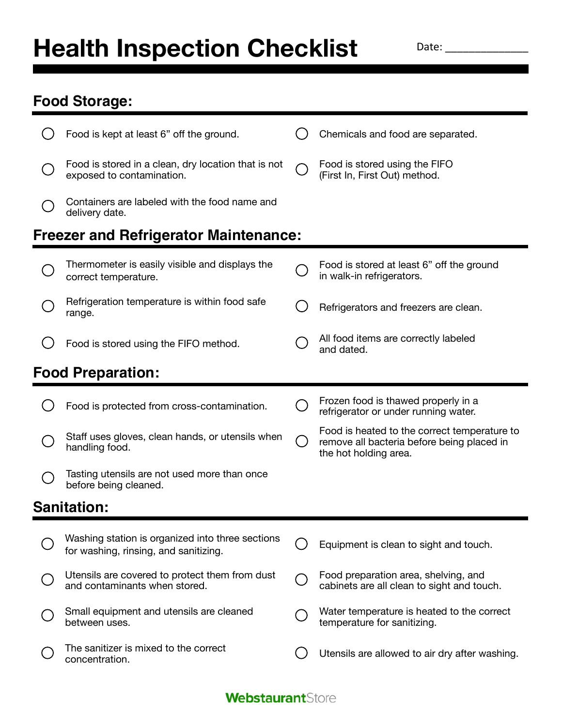## **Health Inspection Checklist**

Date: \_\_\_\_\_\_\_\_\_\_\_\_\_\_

## **Food Storage:**

|                                              | Food is kept at least 6" off the ground.                                                  |                                             | Chemicals and food are separated.                                                                                   |  |  |
|----------------------------------------------|-------------------------------------------------------------------------------------------|---------------------------------------------|---------------------------------------------------------------------------------------------------------------------|--|--|
|                                              | Food is stored in a clean, dry location that is not<br>exposed to contamination.          |                                             | Food is stored using the FIFO<br>(First In, First Out) method.                                                      |  |  |
|                                              | Containers are labeled with the food name and<br>delivery date.                           |                                             |                                                                                                                     |  |  |
| <b>Freezer and Refrigerator Maintenance:</b> |                                                                                           |                                             |                                                                                                                     |  |  |
|                                              | Thermometer is easily visible and displays the<br>correct temperature.                    |                                             | Food is stored at least 6" off the ground<br>in walk-in refrigerators.                                              |  |  |
|                                              | Refrigeration temperature is within food safe<br>range.                                   |                                             | Refrigerators and freezers are clean.                                                                               |  |  |
|                                              | Food is stored using the FIFO method.                                                     |                                             | All food items are correctly labeled<br>and dated.                                                                  |  |  |
| <b>Food Preparation:</b>                     |                                                                                           |                                             |                                                                                                                     |  |  |
|                                              | Food is protected from cross-contamination.                                               |                                             | Frozen food is thawed properly in a<br>refrigerator or under running water.                                         |  |  |
|                                              |                                                                                           |                                             |                                                                                                                     |  |  |
|                                              | Staff uses gloves, clean hands, or utensils when<br>handling food.                        | $\Box$                                      | Food is heated to the correct temperature to<br>remove all bacteria before being placed in<br>the hot holding area. |  |  |
|                                              | Tasting utensils are not used more than once<br>before being cleaned.                     |                                             |                                                                                                                     |  |  |
|                                              | <b>Sanitation:</b>                                                                        |                                             |                                                                                                                     |  |  |
|                                              | Washing station is organized into three sections<br>for washing, rinsing, and sanitizing. |                                             | Equipment is clean to sight and touch.                                                                              |  |  |
|                                              | Utensils are covered to protect them from dust<br>and contaminants when stored.           | $\left(\begin{array}{c} \end{array}\right)$ | Food preparation area, shelving, and<br>cabinets are all clean to sight and touch.                                  |  |  |
|                                              | Small equipment and utensils are cleaned<br>between uses.                                 |                                             | Water temperature is heated to the correct<br>temperature for sanitizing.                                           |  |  |

## **WebstaurantStore**